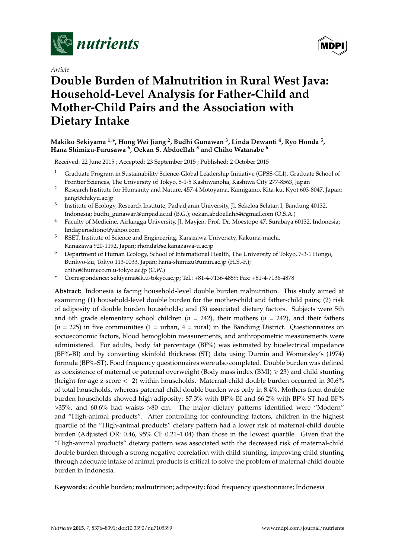

*Article*



# **Double Burden of Malnutrition in Rural West Java: Household-Level Analysis for Father-Child and Mother-Child Pairs and the Association with Dietary Intake**

# **Makiko Sekiyama 1,\*, Hong Wei Jiang <sup>2</sup> , Budhi Gunawan <sup>3</sup> , Linda Dewanti <sup>4</sup> , Ryo Honda <sup>5</sup> , Hana Shimizu-Furusawa <sup>6</sup> , Oekan S. Abdoellah <sup>3</sup> and Chiho Watanabe <sup>6</sup>**

Received: 22 June 2015 ; Accepted: 23 September 2015 ; Published: 2 October 2015

- <sup>1</sup> Graduate Program in Sustainability Science-Global Leadership Initiative (GPSS-GLI), Graduate School of Frontier Sciences, The University of Tokyo, 5-1-5 Kashiwanoha, Kashiwa City 277-8563, Japan
- <sup>2</sup> Research Institute for Humanity and Nature, 457-4 Motoyama, Kamigamo, Kita-ku, Kyot 603-8047, Japan; jiang@chikyu.ac.jp
- 3 Institute of Ecology, Research Institute, Padjadjaran University, Jl. Sekeloa Selatan I, Bandung 40132, Indonesia; budhi\_gunawan@unpad.ac.id (B.G.); oekan.abdoellah54@gmail.com (O.S.A.)
- <sup>4</sup> Faculty of Medicine, Airlangga University, Jl. Mayjen. Prof. Dr. Moestopo 47, Surabaya 60132, Indonesia; lindaperisdiono@yahoo.com
- <sup>5</sup> RSET, Institute of Science and Engineering, Kanazawa University, Kakuma-machi, Kanazawa 920-1192, Japan; rhonda@se.kanazawa-u.ac.jp
- <sup>6</sup> Department of Human Ecology, School of International Health, The University of Tokyo, 7-3-1 Hongo, Bunkyo-ku, Tokyo 113-0033, Japan; hana-shimizu@umin.ac.jp (H.S.-F.); chiho@humeco.m.u-tokyo.ac.jp (C.W.)
- **\*** Correspondence: sekiyama@k.u-tokyo.ac.jp; Tel.: +81-4-7136-4859; Fax: +81-4-7136-4878

**Abstract:** Indonesia is facing household-level double burden malnutrition. This study aimed at examining (1) household-level double burden for the mother-child and father-child pairs; (2) risk of adiposity of double burden households; and (3) associated dietary factors. Subjects were 5th and 6th grade elementary school children (*n* = 242), their mothers (*n* = 242), and their fathers  $(n = 225)$  in five communities  $(1 =$  urban,  $4 =$  rural) in the Bandung District. Questionnaires on socioeconomic factors, blood hemoglobin measurements, and anthropometric measurements were administered. For adults, body fat percentage (BF%) was estimated by bioelectrical impedance (BF%-BI) and by converting skinfold thickness (ST) data using Durnin and Womersley's (1974) formula (BF%-ST). Food frequency questionnaires were also completed. Double burden was defined as coexistence of maternal or paternal overweight (Body mass index  $(BMI) \geq 23$ ) and child stunting (height-for-age z-score  $<-2$ ) within households. Maternal-child double burden occurred in 30.6% of total households, whereas paternal-child double burden was only in 8.4%. Mothers from double burden households showed high adiposity; 87.3% with BF%-BI and 66.2% with BF%-ST had BF% >35%, and 60.6% had waists >80 cm. The major dietary patterns identified were "Modern" and "High-animal products". After controlling for confounding factors, children in the highest quartile of the "High-animal products" dietary pattern had a lower risk of maternal-child double burden (Adjusted OR: 0.46, 95% CI: 0.21–1.04) than those in the lowest quartile. Given that the "High-animal products" dietary pattern was associated with the decreased risk of maternal-child double burden through a strong negative correlation with child stunting, improving child stunting through adequate intake of animal products is critical to solve the problem of maternal-child double burden in Indonesia.

**Keywords:** double burden; malnutrition; adiposity; food frequency questionnaire; Indonesia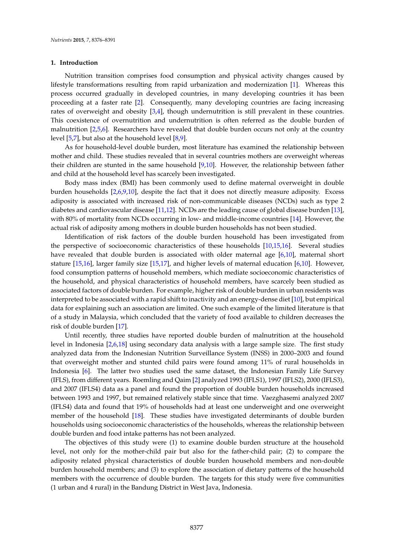#### **1. Introduction**

Nutrition transition comprises food consumption and physical activity changes caused by lifestyle transformations resulting from rapid urbanization and modernization [\[1\]](#page-13-0). Whereas this process occurred gradually in developed countries, in many developing countries it has been proceeding at a faster rate [\[2\]](#page-13-1). Consequently, many developing countries are facing increasing rates of overweight and obesity [\[3](#page-13-2)[,4\]](#page-13-3), though undernutrition is still prevalent in these countries. This coexistence of overnutrition and undernutrition is often referred as the double burden of malnutrition [\[2,](#page-13-1)[5,](#page-13-4)[6\]](#page-13-5). Researchers have revealed that double burden occurs not only at the country level [\[5](#page-13-4)[,7\]](#page-13-6), but also at the household level [\[8,](#page-13-7)[9\]](#page-13-8).

As for household-level double burden, most literature has examined the relationship between mother and child. These studies revealed that in several countries mothers are overweight whereas their children are stunted in the same household [\[9](#page-13-8)[,10\]](#page-13-9). However, the relationship between father and child at the household level has scarcely been investigated.

Body mass index (BMI) has been commonly used to define maternal overweight in double burden households [\[2](#page-13-1)[,6](#page-13-5)[,9](#page-13-8)[,10\]](#page-13-9), despite the fact that it does not directly measure adiposity. Excess adiposity is associated with increased risk of non-communicable diseases (NCDs) such as type 2 diabetes and cardiovascular disease [\[11,](#page-13-10)[12\]](#page-13-11). NCDs are the leading cause of global disease burden [\[13\]](#page-13-12), with 80% of mortality from NCDs occurring in low- and middle-income countries [\[14\]](#page-13-13). However, the actual risk of adiposity among mothers in double burden households has not been studied.

Identification of risk factors of the double burden household has been investigated from the perspective of socioeconomic characteristics of these households [\[10](#page-13-9)[,15](#page-13-14)[,16\]](#page-13-15). Several studies have revealed that double burden is associated with older maternal age [\[6,](#page-13-5)[10\]](#page-13-9), maternal short stature [\[15](#page-13-14)[,16\]](#page-13-15), larger family size [\[15,](#page-13-14)[17\]](#page-13-16), and higher levels of maternal education [\[6,](#page-13-5)[10\]](#page-13-9). However, food consumption patterns of household members, which mediate socioeconomic characteristics of the household, and physical characteristics of household members, have scarcely been studied as associated factors of double burden. For example, higher risk of double burden in urban residents was interpreted to be associated with a rapid shift to inactivity and an energy-dense diet [\[10\]](#page-13-9), but empirical data for explaining such an association are limited. One such example of the limited literature is that of a study in Malaysia, which concluded that the variety of food available to children decreases the risk of double burden [\[17\]](#page-13-16).

Until recently, three studies have reported double burden of malnutrition at the household level in Indonesia [\[2](#page-13-1)[,6](#page-13-5)[,18\]](#page-13-17) using secondary data analysis with a large sample size. The first study analyzed data from the Indonesian Nutrition Surveillance System (INSS) in 2000–2003 and found that overweight mother and stunted child pairs were found among 11% of rural households in Indonesia [\[6\]](#page-13-5). The latter two studies used the same dataset, the Indonesian Family Life Survey (IFLS), from different years. Roemling and Qaim [\[2\]](#page-13-1) analyzed 1993 (IFLS1), 1997 (IFLS2), 2000 (IFLS3), and 2007 (IFLS4) data as a panel and found the proportion of double burden households increased between 1993 and 1997, but remained relatively stable since that time. Vaezghasemi analyzed 2007 (IFLS4) data and found that 19% of households had at least one underweight and one overweight member of the household [\[18\]](#page-13-17). These studies have investigated determinants of double burden households using socioeconomic characteristics of the households, whereas the relationship between double burden and food intake patterns has not been analyzed.

The objectives of this study were (1) to examine double burden structure at the household level, not only for the mother-child pair but also for the father-child pair; (2) to compare the adiposity related physical characteristics of double burden household members and non-double burden household members; and (3) to explore the association of dietary patterns of the household members with the occurrence of double burden. The targets for this study were five communities (1 urban and 4 rural) in the Bandung District in West Java, Indonesia.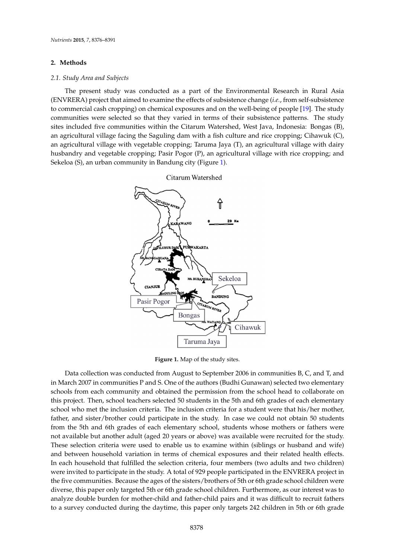#### **2. Methods**

# *2.1. Study Area and Subjects 2.1. Study Area and Subjects*

The present study was conducted as a part of the Environmental Research in Rural Asia The present study was conducted as a part of the Environmental Research in Rural Asia (ENVRERA) project that aimed to examine the effects of subsistence change (*i.e.*, from self-subsistence (ENVRERA) project that aimed to examine the effects of subsistence change (*i.e.*, from self-subsistence to commercial cash cropping) on chemical exposures and on the well-being of people [\[19\]](#page-14-0). The study to commercial cash cropping) on chemical exposures and on the well-being of people [19]. The study communities were selected so that they varied in terms of their subsistence patterns. The study communities were selected so that they varied in terms of their subsistence patterns. The study sites included five communities within the Citarum Watershed, West Java, Indonesia: Bongas (B), an agricultural village facing the Saguling dam with a fish culture and rice cropping; Cihawuk (C), an agricultural village facing the Saguling dam with a fish culture and rice cropping; Cihawuk (C), an agricultural village with vegetable cropping; Taruma Jaya (T), an agricultural village with dairy an agricultural village with vegetable cropping; Taruma Jaya (T), an agricultural village with dairy husbandry and vegetable cropping; Pasir Pogor (P), an agricultural village with rice cropping; and<br>Sekelon (S), and community in Bandung city (Figure 1). Sekeloa (S), an urban community in Bandung city (Figure [1\)](#page-2-0). an agricultural vinage with vegetable cropping; it and juya (1), an agricultural vinage with dain j



<span id="page-2-0"></span>

**Figure 1.** Map of the study sites. **Figure 1.** Map of the study sites.

Data collection was conducted from August to September 2006 in communities B, C, and T, and Data collection was conducted from August to September 2006 in communities B, C, and T, and in March 2007 in communities P and S. One of the authors (Budhi Gunawan) selected two elementary in March 2007 in communities P and S. One of the authors (Budhi Gunawan) selected two elementary schools from each community and obtained the permission from the school head to collaborate on this project. Then, school teachers selected 50 students in the 5th and 6th grades of each elementary this project. Then, school teachers selected 50 students in the 5th and 6th grades of each elementary school who met the inclusion criteria. The inclusion criteria for a student were that his/her mother, school who met the inclusion criteria. The inclusion criteria for a student were that his/her mother, father, and sister/brother could participate in the study. In case we could not obtain 50 students from the 5th and 6th grades of each elementary school, students whose mothers or fathers were not available but another adult (aged 20 years or above) was available were recruited for the study. These selection criteria were used to enable us to examine within (siblings or husband and wife) and between household variation in terms of chemical exposures and their related health effects. In each household that fulfilled the selection criteria, four members (two adults and two children) were invited to participate in the study. A total of 929 people participated in the ENVRERA project in the five communities. Because the ages of the sisters/brothers of 5th or 6th grade school children were diverse, this paper only targeted 5th or 6th grade school children. Furthermore, as our interest was to analyze double burden for mother-child and father-child pairs and it was difficult to recruit fathers to a survey conducted during the daytime, this paper only targets 242 children in 5th or 6th grade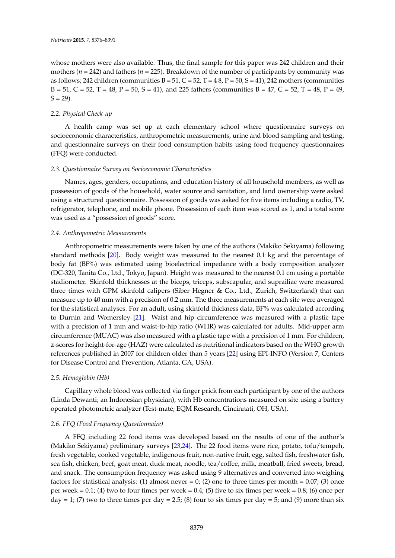whose mothers were also available. Thus, the final sample for this paper was 242 children and their mothers ( $n = 242$ ) and fathers ( $n = 225$ ). Breakdown of the number of participants by community was as follows; 242 children (communities  $B = 51$ ,  $C = 52$ ,  $T = 48$ ,  $P = 50$ ,  $S = 41$ ), 242 mothers (communities  $B = 51, C = 52, T = 48, P = 50, S = 41,$  and 225 fathers (communities  $B = 47, C = 52, T = 48, P = 49,$  $S = 29$ ).

#### *2.2. Physical Check-up*

A health camp was set up at each elementary school where questionnaire surveys on socioeconomic characteristics, anthropometric measurements, urine and blood sampling and testing, and questionnaire surveys on their food consumption habits using food frequency questionnaires (FFQ) were conducted.

#### *2.3. Questionnaire Survey on Socioeconomic Characteristics*

Names, ages, genders, occupations, and education history of all household members, as well as possession of goods of the household, water source and sanitation, and land ownership were asked using a structured questionnaire. Possession of goods was asked for five items including a radio, TV, refrigerator, telephone, and mobile phone. Possession of each item was scored as 1, and a total score was used as a "possession of goods" score.

#### *2.4. Anthropometric Measurements*

Anthropometric measurements were taken by one of the authors (Makiko Sekiyama) following standard methods [\[20\]](#page-14-1). Body weight was measured to the nearest 0.1 kg and the percentage of body fat (BF%) was estimated using bioelectrical impedance with a body composition analyzer (DC-320, Tanita Co., Ltd., Tokyo, Japan). Height was measured to the nearest 0.1 cm using a portable stadiometer. Skinfold thicknesses at the biceps, triceps, subscapular, and suprailiac were measured three times with GPM skinfold calipers (Siber Hegner & Co., Ltd., Zurich, Switzerland) that can measure up to 40 mm with a precision of 0.2 mm. The three measurements at each site were averaged for the statistical analyses. For an adult, using skinfold thickness data, BF% was calculated according to Durnin and Womersley [\[21\]](#page-14-2). Waist and hip circumference was measured with a plastic tape with a precision of 1 mm and waist-to-hip ratio (WHR) was calculated for adults. Mid-upper arm circumference (MUAC) was also measured with a plastic tape with a precision of 1 mm. For children, z-scores for height-for-age (HAZ) were calculated as nutritional indicators based on the WHO growth references published in 2007 for children older than 5 years [\[22\]](#page-14-3) using EPI-INFO (Version 7, Centers for Disease Control and Prevention, Atlanta, GA, USA).

#### *2.5. Hemoglobin (Hb)*

Capillary whole blood was collected via finger prick from each participant by one of the authors (Linda Dewanti; an Indonesian physician), with Hb concentrations measured on site using a battery operated photometric analyzer (Test-mate; EQM Research, Cincinnati, OH, USA).

# *2.6. FFQ (Food Frequency Questionnaire)*

A FFQ including 22 food items was developed based on the results of one of the author's (Makiko Sekiyama) preliminary surveys [\[23](#page-14-4)[,24\]](#page-14-5). The 22 food items were rice, potato, tofu/tempeh, fresh vegetable, cooked vegetable, indigenous fruit, non-native fruit, egg, salted fish, freshwater fish, sea fish, chicken, beef, goat meat, duck meat, noodle, tea/coffee, milk, meatball, fried sweets, bread, and snack. The consumption frequency was asked using 9 alternatives and converted into weighing factors for statistical analysis: (1) almost never = 0; (2) one to three times per month =  $0.07$ ; (3) once per week =  $0.1$ ; (4) two to four times per week =  $0.4$ ; (5) five to six times per week =  $0.8$ ; (6) once per  $day = 1$ ; (7) two to three times per day = 2.5; (8) four to six times per day = 5; and (9) more than six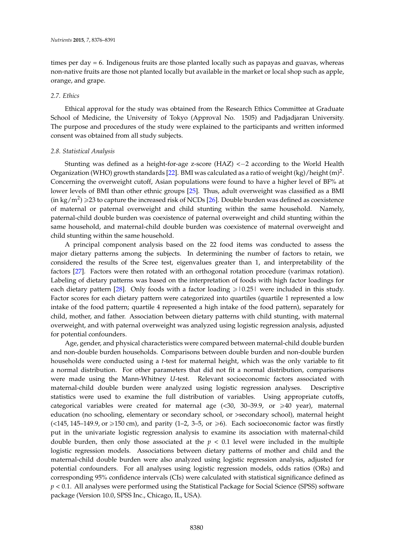times per day = 6. Indigenous fruits are those planted locally such as papayas and guavas, whereas non-native fruits are those not planted locally but available in the market or local shop such as apple, orange, and grape.

#### *2.7. Ethics*

Ethical approval for the study was obtained from the Research Ethics Committee at Graduate School of Medicine, the University of Tokyo (Approval No. 1505) and Padjadjaran University. The purpose and procedures of the study were explained to the participants and written informed consent was obtained from all study subjects.

#### *2.8. Statistical Analysis*

Stunting was defined as a height-for-age z-score  $(HAZ) < -2$  according to the World Health Organization (WHO) growth standards [\[22\]](#page-14-3). BMI was calculated as a ratio of weight (kg)/height (m)<sup>2</sup>. Concerning the overweight cutoff, Asian populations were found to have a higher level of BF% at lower levels of BMI than other ethnic groups [\[25\]](#page-14-6). Thus, adult overweight was classified as a BMI  $(\text{in kg/m}^2) \geq 23$  to capture the increased risk of NCDs [\[26\]](#page-14-7). Double burden was defined as coexistence of maternal or paternal overweight and child stunting within the same household. Namely, paternal-child double burden was coexistence of paternal overweight and child stunting within the same household, and maternal-child double burden was coexistence of maternal overweight and child stunting within the same household.

A principal component analysis based on the 22 food items was conducted to assess the major dietary patterns among the subjects. In determining the number of factors to retain, we considered the results of the Scree test, eigenvalues greater than 1, and interpretability of the factors [\[27\]](#page-14-8). Factors were then rotated with an orthogonal rotation procedure (varimax rotation). Labeling of dietary patterns was based on the interpretation of foods with high factor loadings for each dietary pattern [\[28\]](#page-14-9). Only foods with a factor loading  $\geq 0.25$  were included in this study. Factor scores for each dietary pattern were categorized into quartiles (quartile 1 represented a low intake of the food pattern; quartile 4 represented a high intake of the food pattern), separately for child, mother, and father. Association between dietary patterns with child stunting, with maternal overweight, and with paternal overweight was analyzed using logistic regression analysis, adjusted for potential confounders.

Age, gender, and physical characteristics were compared between maternal-child double burden and non-double burden households. Comparisons between double burden and non-double burden households were conducted using a *t*-test for maternal height, which was the only variable to fit a normal distribution. For other parameters that did not fit a normal distribution, comparisons were made using the Mann-Whitney *U*-test. Relevant socioeconomic factors associated with maternal-child double burden were analyzed using logistic regression analyses. Descriptive statistics were used to examine the full distribution of variables. Using appropriate cutoffs, categorical variables were created for maternal age  $(\leq 30, 30-39.9,$  or  $\geq 40$  year), maternal education (no schooling, elementary or secondary school, or >secondary school), maternal height  $(\leq 145, 145-149.9, \text{ or } \geq 150 \text{ cm})$ , and parity  $(1-2, 3-5, \text{ or } \geq 6)$ . Each socioeconomic factor was firstly put in the univariate logistic regression analysis to examine its association with maternal-child double burden, then only those associated at the  $p < 0.1$  level were included in the multiple logistic regression models. Associations between dietary patterns of mother and child and the maternal-child double burden were also analyzed using logistic regression analysis, adjusted for potential confounders. For all analyses using logistic regression models, odds ratios (ORs) and corresponding 95% confidence intervals (CIs) were calculated with statistical significance defined as *p* < 0.1. All analyses were performed using the Statistical Package for Social Science (SPSS) software package (Version 10.0, SPSS Inc., Chicago, IL, USA).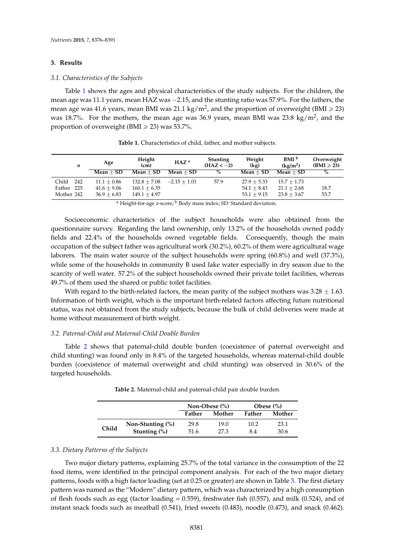#### **3. Results**

#### *3.1. Characteristics of the Subjects*

Table [1](#page-5-0) shows the ages and physical characteristics of the study subjects. For the children, the mean age was 11.1 years, mean HAZ was  $-2.15$ , and the stunting ratio was 57.9%. For the fathers, the mean age was 41.6 years, mean BMI was 21.1 kg/m<sup>2</sup>, and the proportion of overweight (BMI  $\geqslant$  23) was 18.7%. For the mothers, the mean age was 36.9 years, mean BMI was 23.8 kg/m<sup>2</sup>, and the proportion of overweight (BMI  $\geq$  23) was 53.7%.

<span id="page-5-0"></span>

| n            | Age           | Height<br>(c <sub>m</sub> ) | HAZ <sup>a</sup> | <b>Stunting</b><br>$(HAZ < -2)$ | Weight<br>(kg) | BMI <sup>b</sup><br>(kg/m <sup>2</sup> ) | Overweight<br>$(BMI \geq 23)$ |
|--------------|---------------|-----------------------------|------------------|---------------------------------|----------------|------------------------------------------|-------------------------------|
|              | $Mean + SD$   | $Mean + SD$                 | $Mean + SD$      | $\%$                            | $Mean + SD$    | $Mean + SD$                              | $\%$                          |
| 242<br>Child | $11.1 + 0.86$ | $132.8 + 7.08$              | $-2.15 + 1.01$   | 57.9                            | $27.9 + 5.33$  | $15.7 + 1.73$                            |                               |
| Father 225   | $41.6 + 9.06$ | $160.1 + 6.35$              |                  |                                 | $54.1 + 8.43$  | $21.1 + 2.68$                            | 18.7                          |
| Mother 242   | $36.9 + 6.83$ | $149.1 + 4.97$              |                  |                                 | $53.1 + 9.15$  | $23.8 + 3.67$                            | 53.7                          |

**Table 1.** Characteristics of child, father, and mother subjects.

<sup>a</sup> Height-for-age z-score; <sup>b</sup> Body mass index; SD: Standard deviation.

Socioeconomic characteristics of the subject households were also obtained from the questionnaire survey. Regarding the land ownership, only 13.2% of the households owned paddy fields and 22.4% of the households owned vegetable fields. Consequently, though the main occupation of the subject father was agricultural work (30.2%), 60.2% of them were agricultural wage laborers. The main water source of the subject households were spring (60.8%) and well (37.3%), while some of the households in community B used lake water especially in dry season due to the scarcity of well water. 57.2% of the subject households owned their private toilet facilities, whereas 49.7% of them used the shared or public toilet facilities.

With regard to the birth-related factors, the mean parity of the subject mothers was  $3.28 \pm 1.63$ . Information of birth weight, which is the important birth-related factors affecting future nutritional status, was not obtained from the study subjects, because the bulk of child deliveries were made at home without measurement of birth weight.

#### *3.2. Paternal-Child and Maternal-Child Double Burden*

<span id="page-5-1"></span>Table [2](#page-5-1) shows that paternal-child double burden (coexistence of paternal overweight and child stunting) was found only in 8.4% of the targeted households, whereas maternal-child double burden (coexistence of maternal overweight and child stunting) was observed in 30.6% of the targeted households.

|       |                                     |              | Non-Obese $(\%)$ | Obese $(\%)$     |              |  |  |
|-------|-------------------------------------|--------------|------------------|------------------|--------------|--|--|
|       |                                     | Father       | Mother           | Mother<br>Father |              |  |  |
| Child | Non-Stunting (%)<br>Stunting $(\%)$ | 29.8<br>51.6 | 19.0<br>27.3     | 10.2<br>8.4      | 23.1<br>30.6 |  |  |

**Table 2.** Maternal-child and paternal-child pair double burden.

#### *3.3. Dietary Patterns of the Subjects*

Two major dietary patterns, explaining 25.7% of the total variance in the consumption of the 22 food items, were identified in the principal component analysis. For each of the two major dietary patterns, foods with a high factor loading (set at 0.25 or greater) are shown in Table [3.](#page-6-0) The first dietary pattern was named as the "Modern" dietary pattern, which was characterized by a high consumption of flesh foods such as egg (factor loading =  $0.559$ ), freshwater fish (0.57), and milk (0.524), and of instant snack foods such as meatball (0.541), fried sweets (0.483), noodle (0.473), and snack (0.462).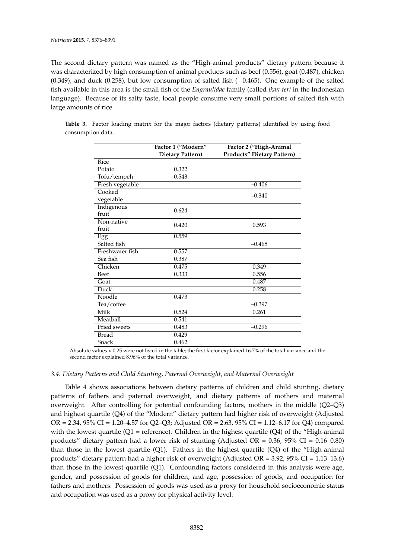The second dietary pattern was named as the "High-animal products" dietary pattern because it was characterized by high consumption of animal products such as beef (0.556), goat (0.487), chicken  $(0.349)$ , and duck  $(0.258)$ , but low consumption of salted fish  $(-0.465)$ . One example of the salted fish available in this area is the small fish of the *Engraulidae* family (called *ikan teri* in the Indonesian language). Because of its salty taste, local people consume very small portions of salted fish with large amounts of rice.

|                     | Factor 1 ("Modern"<br>Dietary Pattern) | Factor 2 ("High-Animal<br><b>Products" Dietary Pattern)</b> |
|---------------------|----------------------------------------|-------------------------------------------------------------|
| Rice                |                                        |                                                             |
| Potato              | 0.322                                  |                                                             |
| Tofu/tempeh         | 0.543                                  |                                                             |
| Fresh vegetable     |                                        | $-0.406$                                                    |
| Cooked              |                                        | $-0.340$                                                    |
| vegetable           |                                        |                                                             |
| Indigenous<br>fruit | 0.624                                  |                                                             |
| Non-native<br>fruit | 0.420                                  | 0.593                                                       |
| Egg                 | 0.559                                  |                                                             |
| Salted fish         |                                        | $-0.465$                                                    |
| Freshwater fish     | 0.557                                  |                                                             |
| Sea fish            | 0.387                                  |                                                             |
| Chicken             | 0.475                                  | 0.349                                                       |
| Beef                | 0.333                                  | 0.556                                                       |
| Goat                |                                        | 0.487                                                       |
| Duck                |                                        | 0.258                                                       |
| Noodle              | 0.473                                  |                                                             |
| Tea/coffee          |                                        | $-0.397$                                                    |
| Milk                | 0.524                                  | 0.261                                                       |
| Meatball            | 0.541                                  |                                                             |
| <b>Fried sweets</b> | 0.483                                  | $-0.296$                                                    |
| <b>Bread</b>        | 0.429                                  |                                                             |
| Snack               | 0.462                                  |                                                             |

<span id="page-6-0"></span>**Table 3.** Factor loading matrix for the major factors (dietary patterns) identified by using food consumption data.

Absolute values < 0.25 were not listed in the table; the first factor explained 16.7% of the total variance and the second factor explained 8.96% of the total variance.

# *3.4. Dietary Patterns and Child Stunting, Paternal Overweight, and Maternal Overweight*

Table [4](#page-7-0) shows associations between dietary patterns of children and child stunting, dietary patterns of fathers and paternal overweight, and dietary patterns of mothers and maternal overweight. After controlling for potential confounding factors, mothers in the middle (Q2–Q3) and highest quartile (Q4) of the "Modern" dietary pattern had higher risk of overweight (Adjusted OR = 2.34, 95% CI = 1.20–4.57 for Q2–Q3; Adjusted OR = 2.63, 95% CI = 1.12–6.17 for Q4) compared with the lowest quartile ( $Q1$  = reference). Children in the highest quartile ( $Q4$ ) of the "High-animal products" dietary pattern had a lower risk of stunting (Adjusted OR = 0.36, 95% CI = 0.16–0.80) than those in the lowest quartile (Q1). Fathers in the highest quartile (Q4) of the "High-animal products" dietary pattern had a higher risk of overweight (Adjusted OR = 3.92, 95% CI = 1.13–13.6) than those in the lowest quartile (Q1). Confounding factors considered in this analysis were age, gender, and possession of goods for children, and age, possession of goods, and occupation for fathers and mothers. Possession of goods was used as a proxy for household socioeconomic status and occupation was used as a proxy for physical activity level.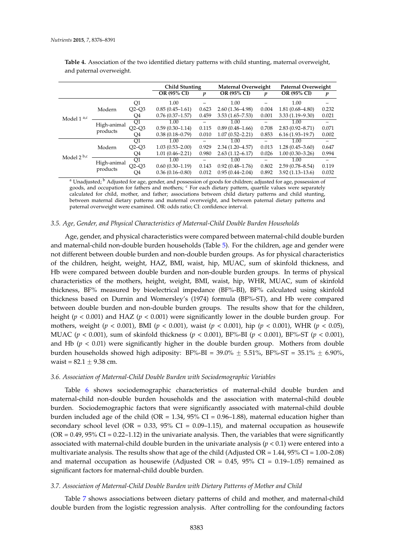|                 |                         |         | <b>Child Stunting</b> |       | <b>Maternal Overweight</b> |       | Paternal Overweight |       |  |
|-----------------|-------------------------|---------|-----------------------|-------|----------------------------|-------|---------------------|-------|--|
|                 |                         |         | <b>OR (95% CI)</b>    | p     | OR (95% CI)                | p     | <b>OR (95% CI)</b>  | p     |  |
|                 |                         | Q1      | 1.00                  |       | 1.00                       |       | 1.00                |       |  |
|                 | Modern                  | $O2-O3$ | $0.85(0.45 - 1.61)$   | 0.623 | $2.60(1.36 - 4.98)$        | 0.004 | $1.81(0.68 - 4.80)$ | 0.232 |  |
| Model $1^{a,c}$ |                         | Q4      | $0.76(0.37-1.57)$     | 0.459 | $3.53(1.65 - 7.53)$        | 0.001 | $3.33(1.19 - 9.30)$ | 0.021 |  |
|                 | High-animal<br>products | Q1      | 1.00                  |       | 1.00                       |       | 1.00                |       |  |
|                 |                         | $Q2-Q3$ | $0.59(0.30-1.14)$     | 0.115 | $0.89(0.48 - 1.66)$        | 0.708 | $2.83(0.92 - 8.71)$ | 0.071 |  |
|                 |                         | Q4      | $0.38(0.18 - 0.79)$   | 0.010 | $1.07(0.52 - 2.21)$        | 0.853 | $6.16(1.93-19.7)$   | 0.002 |  |
|                 |                         | O1      | 1.00                  |       | 1.00                       |       | 1.00                |       |  |
|                 | Modern                  | $O2-O3$ | $1.03(0.53 - 2.00)$   | 0.929 | $2.34(1.20 - 4.57)$        | 0.013 | $1.28(0.45 - 3.60)$ | 0.647 |  |
|                 |                         | Q4      | $1.01(0.46 - 2.21)$   | 0.980 | $2.63(1.12 - 6.17)$        | 0.026 | $1.00(0.30 - 3.26)$ | 0.994 |  |
| Model $2^{b,c}$ | High-animal             | Q1      | 1.00                  |       | 1.00                       |       | 1.00                |       |  |
|                 | products                | $Q2-Q3$ | $0.60(0.30-1.19)$     | 0.143 | $0.92(0.48 - 1.76)$        | 0.802 | $2.59(0.78 - 8.54)$ | 0.119 |  |
|                 |                         | O4      | $0.36(0.16 - 0.80)$   | 0.012 | $0.95(0.44 - 2.04)$        | 0.892 | $3.92(1.13 - 13.6)$ | 0.032 |  |

<span id="page-7-0"></span>**Table 4.** Association of the two identified dietary patterns with child stunting, maternal overweight, and paternal overweight.

<sup>a</sup> Unadjusted; <sup>b</sup> Adjusted for age, gender, and possession of goods for children; adjusted for age, possession of goods, and occupation for fathers and mothers; <sup>c</sup> For each dietary pattern, quartile values were separately calculated for child, mother, and father; associations between child dietary patterns and child stunting, between maternal dietary patterns and maternal overweight, and between paternal dietary patterns and paternal overweight were examined. OR: odds ratio; CI: confidence interval.

#### *3.5. Age, Gender, and Physical Characteristics of Maternal-Child Double Burden Households*

Age, gender, and physical characteristics were compared between maternal-child double burden and maternal-child non-double burden households (Table [5\)](#page-8-0). For the children, age and gender were not different between double burden and non-double burden groups. As for physical characteristics of the children, height, weight, HAZ, BMI, waist, hip, MUAC, sum of skinfold thickness, and Hb were compared between double burden and non-double burden groups. In terms of physical characteristics of the mothers, height, weight, BMI, waist, hip, WHR, MUAC, sum of skinfold thickness, BF% measured by bioelectrical impedance (BF%-BI), BF% calculated using skinfold thickness based on Durnin and Womersley's (1974) formula (BF%-ST), and Hb were compared between double burden and non-double burden groups. The results show that for the children, height ( $p < 0.001$ ) and HAZ ( $p < 0.001$ ) were significantly lower in the double burden group. For mothers, weight (*p* < 0.001), BMI (*p* < 0.001), waist (*p* < 0.001), hip (*p* < 0.001), WHR (*p* < 0.05), MUAC (*p* < 0.001), sum of skinfold thickness (*p* < 0.001), BF%-BI (*p* < 0.001), BF%-ST (*p* < 0.001), and Hb  $(p < 0.01)$  were significantly higher in the double burden group. Mothers from double burden households showed high adiposity:  $BF\% - BI = 39.0\% \pm 5.51\%$ ,  $BF\% - ST = 35.1\% \pm 6.90\%$ , waist =  $82.1 \pm 9.38$  cm.

#### *3.6. Association of Maternal-Child Double Burden with Sociodemographic Variables*

Table [6](#page-9-0) shows sociodemographic characteristics of maternal-child double burden and maternal-child non-double burden households and the association with maternal-child double burden. Sociodemographic factors that were significantly associated with maternal-child double burden included age of the child (OR =  $1.34$ , 95% CI = 0.96–1.88), maternal education higher than secondary school level (OR = 0.33, 95% CI = 0.09–1.15), and maternal occupation as housewife  $(OR = 0.49, 95\% \text{ CI} = 0.22-1.12)$  in the univariate analysis. Then, the variables that were significantly associated with maternal-child double burden in the univariate analysis (*p* < 0.1) were entered into a multivariate analysis. The results show that age of the child (Adjusted  $OR = 1.44$ ,  $95\% CI = 1.00 - 2.08$ ) and maternal occupation as housewife (Adjusted OR =  $0.45$ , 95% CI = 0.19-1.05) remained as significant factors for maternal-child double burden.

#### *3.7. Association of Maternal-Child Double Burden with Dietary Patterns of Mother and Child*

Table [7](#page-10-0) shows associations between dietary patterns of child and mother, and maternal-child double burden from the logistic regression analysis. After controlling for the confounding factors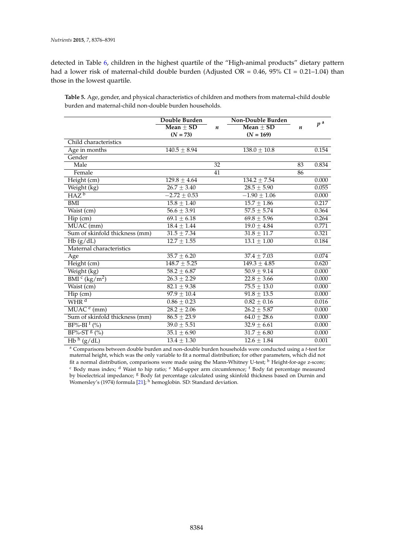detected in Table [6,](#page-9-0) children in the highest quartile of the "High-animal products" dietary pattern had a lower risk of maternal-child double burden (Adjusted OR =  $0.46$ ,  $95\%$  CI =  $0.21-1.04$ ) than those in the lowest quartile.

<span id="page-8-0"></span>**Table 5.** Age, gender, and physical characteristics of children and mothers from maternal-child double burden and maternal-child non-double burden households.

|                                                 | Double Burden              |                  | Non-Double Burden |    |                |
|-------------------------------------------------|----------------------------|------------------|-------------------|----|----------------|
|                                                 | Mean $\pm$ SD              | $\boldsymbol{n}$ | Mean $\pm$ SD     | n  | p <sup>a</sup> |
|                                                 | $(N = 73)$                 |                  | $(N = 169)$       |    |                |
| Child characteristics                           |                            |                  |                   |    |                |
| Age in months                                   | $140.5 \pm 8.94$           |                  | $138.0 \pm 10.8$  |    | 0.154          |
| Gender                                          |                            |                  |                   |    |                |
| Male                                            |                            | 32               |                   | 83 | 0.834          |
| Female                                          |                            | $\overline{41}$  |                   | 86 |                |
| Height (cm)                                     | $129.8 + 4.64$             |                  | $134.2 + 7.54$    |    | 0.000          |
| Weight (kg)                                     | $\sqrt{26.7 \pm 3.40}$     |                  | $28.5 \pm 5.90$   |    | 0.055          |
| $HAZ^b$                                         | $-2.72 \pm 0.53$           |                  | $-1.90 \pm 1.06$  |    | 0.000          |
| BMI                                             | $15.8 \pm 1.40$            |                  | $15.7 \pm 1.86$   |    | 0.217          |
| Waist (cm)                                      | $\overline{56.6 \pm 3.91}$ |                  | $57.5 \pm 5.74$   |    | 0.364          |
| Hip (cm)                                        | $69.1 \pm 6.18$            |                  | $69.8 \pm 5.96$   |    | 0.264          |
| MUAC (mm)                                       | $18.4 \pm 1.44$            |                  | $19.0 \pm 4.84$   |    | 0.771          |
| Sum of skinfold thickness (mm)                  | $31.5 \pm 7.34$            |                  | $31.8 \pm 11.7$   |    | 0.321          |
| Hb(g/dL)                                        | $12.7 \pm 1.55$            |                  | $13.1 \pm 1.00$   |    | 0.184          |
| Maternal characteristics                        |                            |                  |                   |    |                |
| Age                                             | $35.7 \pm 6.20$            |                  | $37.4 \pm 7.03$   |    | 0.074          |
| Height (cm)                                     | $148.7 \pm 5.25$           |                  | $149.3 \pm 4.85$  |    | 0.620          |
| Weight (kg)                                     | $58.2 \pm 6.87$            |                  | $50.9 \pm 9.14$   |    | 0.000          |
| $\overline{\rm BMI}^{\,c}$ (kg/m <sup>2</sup> ) | $26.3 \pm 2.29$            |                  | $22.8 \pm 3.66$   |    | 0.000          |
| Waist (cm)                                      | $82.1 \pm 9.38$            |                  | $75.5 \pm 13.0$   |    | 0.000          |
| Hip (cm)                                        | $97.9 \pm 10.4$            |                  | $91.8 \pm 13.5$   |    | 0.000          |
| $\overline{\text{WHR}^{\text{d}}}$              | $0.86 \pm 0.23$            |                  | $0.82 \pm 0.16$   |    | 0.016          |
| $MUACe$ (mm)                                    | $28.2 \pm 2.06$            |                  | $26.2 \pm 5.87$   |    | 0.000          |
| Sum of skinfold thickness (mm)                  | $\overline{86.5 \pm 23.9}$ |                  | $64.0 \pm 28.6$   |    | 0.000          |
| $BF%-BI$ <sup>f</sup> (%)                       | $39.0 \pm 5.51$            |                  | $32.9 \pm 6.61$   |    | 0.000          |
| $BF%-ST$$ (%)                                   | $35.1 \pm 6.90$            |                  | $31.7 \pm 6.80$   |    | 0.000          |
| $Hb^h(g/dL)$                                    | $13.4 \pm 1.30$            |                  | $12.6 \pm 1.84$   |    | 0.001          |

<sup>a</sup> Comparisons between double burden and non-double burden households were conducted using a *t*-test for maternal height, which was the only variable to fit a normal distribution; for other parameters, which did not fit a normal distribution, comparisons were made using the Mann-Whitney U-test; <sup>b</sup> Height-for-age z-score; <sup>c</sup> Body mass index; <sup>d</sup> Waist to hip ratio; <sup>e</sup> Mid-upper arm circumference; <sup>f</sup> Body fat percentage measured by bioelectrical impedance; <sup>g</sup> Body fat percentage calculated using skinfold thickness based on Durnin and Womersley's (1974) formula [\[21\]](#page-14-2);  $\frac{1}{n}$  hemoglobin. SD: Standard deviation.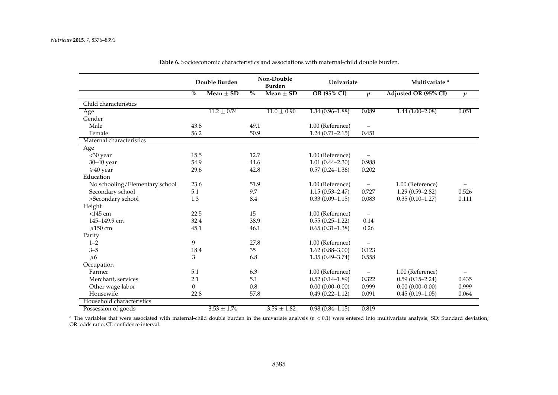|                                | Double Burden |                 | Non-Double<br><b>Burden</b> |                 | Univariate          |                          | Multivariate <sup>a</sup> |                  |
|--------------------------------|---------------|-----------------|-----------------------------|-----------------|---------------------|--------------------------|---------------------------|------------------|
|                                | $\frac{0}{0}$ | $Mean + SD$     | $\frac{0}{0}$               | $Mean + SD$     | <b>OR (95% CI)</b>  | $\boldsymbol{p}$         | Adjusted OR (95% CI)      | $\boldsymbol{p}$ |
| Child characteristics          |               |                 |                             |                 |                     |                          |                           |                  |
| Age                            |               | $11.2 \pm 0.74$ |                             | $11.0 \pm 0.90$ | $1.34(0.96 - 1.88)$ | 0.089                    | $1.44(1.00-2.08)$         | 0.051            |
| Gender                         |               |                 |                             |                 |                     |                          |                           |                  |
| Male                           | 43.8          |                 | 49.1                        |                 | 1.00 (Reference)    | $\overline{\phantom{m}}$ |                           |                  |
| Female                         | 56.2          |                 | 50.9                        |                 | $1.24(0.71 - 2.15)$ | 0.451                    |                           |                  |
| Maternal characteristics       |               |                 |                             |                 |                     |                          |                           |                  |
| Age                            |               |                 |                             |                 |                     |                          |                           |                  |
| <30 year                       | 15.5          |                 | 12.7                        |                 | 1.00 (Reference)    |                          |                           |                  |
| 30-40 year                     | 54.9          |                 | 44.6                        |                 | $1.01(0.44 - 2.30)$ | 0.988                    |                           |                  |
| $\geqslant$ 40 year            | 29.6          |                 | 42.8                        |                 | $0.57(0.24 - 1.36)$ | 0.202                    |                           |                  |
| Education                      |               |                 |                             |                 |                     |                          |                           |                  |
| No schooling/Elementary school | 23.6          |                 | 51.9                        |                 | 1.00 (Reference)    | $\qquad \qquad -$        | 1.00 (Reference)          |                  |
| Secondary school               | 5.1           |                 | 9.7                         |                 | $1.15(0.53 - 2.47)$ | 0.727                    | $1.29(0.59 - 2.82)$       | 0.526            |
| >Secondary school              | 1.3           |                 | 8.4                         |                 | $0.33(0.09-1.15)$   | 0.083                    | $0.35(0.10-1.27)$         | 0.111            |
| Height                         |               |                 |                             |                 |                     |                          |                           |                  |
| $<$ 145 cm                     | 22.5          |                 | 15                          |                 | 1.00 (Reference)    | $\overline{\phantom{m}}$ |                           |                  |
| 145-149.9 cm                   | 32.4          |                 | 38.9                        |                 | $0.55(0.25-1.22)$   | 0.14                     |                           |                  |
| $\geqslant$ 150 cm             | 45.1          |                 | 46.1                        |                 | $0.65(0.31-1.38)$   | 0.26                     |                           |                  |
| Parity                         |               |                 |                             |                 |                     |                          |                           |                  |
| $1 - 2$                        | 9             |                 | 27.8                        |                 | 1.00 (Reference)    |                          |                           |                  |
| $3 - 5$                        | 18.4          |                 | 35                          |                 | $1.62(0.88 - 3.00)$ | 0.123                    |                           |                  |
| $\geq 6$                       | 3             |                 | 6.8                         |                 | $1.35(0.49 - 3.74)$ | 0.558                    |                           |                  |
| Occupation                     |               |                 |                             |                 |                     |                          |                           |                  |
| Farmer                         | 5.1           |                 | 6.3                         |                 | 1.00 (Reference)    |                          | 1.00 (Reference)          |                  |
| Merchant, services             | 2.1           |                 | 5.1                         |                 | $0.52(0.14-1.89)$   | 0.322                    | $0.59(0.15 - 2.24)$       | 0.435            |
| Other wage labor               | $\Omega$      |                 | 0.8                         |                 | $0.00(0.00-0.00)$   | 0.999                    | $0.00(0.00-0.00)$         | 0.999            |
| Housewife                      | 22.8          |                 | 57.8                        |                 | $0.49(0.22 - 1.12)$ | 0.091                    | $0.45(0.19-1.05)$         | 0.064            |
| Household characteristics      |               |                 |                             |                 |                     |                          |                           |                  |
| Possession of goods            |               | $3.53 \pm 1.74$ |                             | $3.59 + 1.82$   | $0.98(0.84 - 1.15)$ | 0.819                    |                           |                  |

**Table 6.** Socioeconomic characteristics and associations with maternal-child double burden.

<span id="page-9-0"></span><sup>a</sup> The variables that were associated with maternal-child double burden in the univariate analysis (*p* < 0.1) were entered into multivariate analysis; SD: Standard deviation; OR: odds ratio; CI: confidence interval.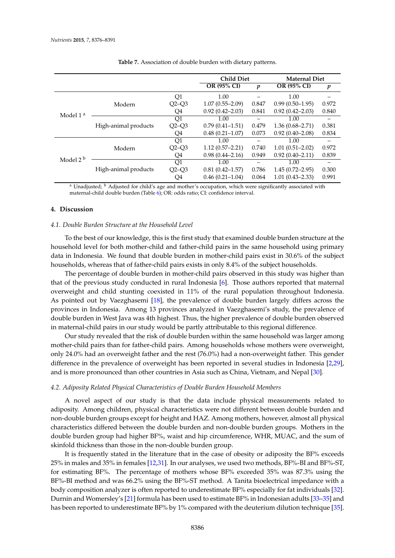<span id="page-10-0"></span>

|                      |                      |         | <b>Child Diet</b>   |                  | <b>Maternal Diet</b> |       |
|----------------------|----------------------|---------|---------------------|------------------|----------------------|-------|
|                      |                      |         | OR (95% CI)         | $\boldsymbol{p}$ | <b>OR (95% CI)</b>   | p     |
|                      |                      | Q1      | 1.00                |                  | 1.00                 |       |
|                      | Modern               | $Q2-Q3$ | $1.07(0.55 - 2.09)$ | 0.847            | $0.99(0.50-1.95)$    | 0.972 |
|                      |                      | Q4      | $0.92(0.42 - 2.03)$ | 0.841            | $0.92(0.42 - 2.03)$  | 0.840 |
| Model 1 <sup>a</sup> |                      | Q1      | 1.00                | -                | 1.00                 |       |
|                      | High-animal products | $O2-O3$ | $0.79(0.41 - 1.51)$ | 0.479            | $1.36(0.68 - 2.71)$  | 0.381 |
|                      |                      | Q4      | $0.48(0.21 - 1.07)$ | 0.073            | $0.92(0.40 - 2.08)$  | 0.834 |
|                      |                      | Q1      | 1.00                |                  | 1.00                 |       |
|                      | Modern               | $Q2-O3$ | $1.12(0.57 - 2.21)$ | 0.740            | $1.01(0.51 - 2.02)$  | 0.972 |
| Model $2b$           |                      | O4      | $0.98(0.44 - 2.16)$ | 0.949            | $0.92(0.40 - 2.11)$  | 0.839 |
|                      |                      | O1      | 1.00                |                  | 1.00                 |       |
|                      | High-animal products | $Q2-Q3$ | $0.81(0.42 - 1.57)$ | 0.786            | $1.45(0.72 - 2.95)$  | 0.300 |
|                      |                      | O4      | $0.46(0.21 - 1.04)$ | 0.064            | $1.01(0.43 - 2.33)$  | 0.991 |

**Table 7.** Association of double burden with dietary patterns.

<sup>a</sup> Unadjusted; <sup>b</sup> Adjusted for child's age and mother's occupation, which were significantly associated with maternal-child double burden (Table [6\)](#page-9-0); OR: odds ratio; CI: confidence interval.

#### **4. Discussion**

#### *4.1. Double Burden Structure at the Household Level*

To the best of our knowledge, this is the first study that examined double burden structure at the household level for both mother-child and father-child pairs in the same household using primary data in Indonesia. We found that double burden in mother-child pairs exist in 30.6% of the subject households, whereas that of father-child pairs exists in only 8.4% of the subject households.

The percentage of double burden in mother-child pairs observed in this study was higher than that of the previous study conducted in rural Indonesia [\[6\]](#page-13-5). Those authors reported that maternal overweight and child stunting coexisted in 11% of the rural population throughout Indonesia. As pointed out by Vaezghasemi [\[18\]](#page-13-17), the prevalence of double burden largely differs across the provinces in Indonesia. Among 13 provinces analyzed in Vaezghasemi's study, the prevalence of double burden in West Java was 4th highest. Thus, the higher prevalence of double burden observed in maternal-child pairs in our study would be partly attributable to this regional difference.

Our study revealed that the risk of double burden within the same household was larger among mother-child pairs than for father-child pairs. Among households whose mothers were overweight, only 24.0% had an overweight father and the rest (76.0%) had a non-overweight father. This gender difference in the prevalence of overweight has been reported in several studies in Indonesia [\[2](#page-13-1)[,29\]](#page-14-10), and is more pronounced than other countries in Asia such as China, Vietnam, and Nepal [\[30\]](#page-14-11).

# *4.2. Adiposity Related Physical Characteristics of Double Burden Household Members*

A novel aspect of our study is that the data include physical measurements related to adiposity. Among children, physical characteristics were not different between double burden and non-double burden groups except for height and HAZ. Among mothers, however, almost all physical characteristics differed between the double burden and non-double burden groups. Mothers in the double burden group had higher BF%, waist and hip circumference, WHR, MUAC, and the sum of skinfold thickness than those in the non-double burden group.

It is frequently stated in the literature that in the case of obesity or adiposity the BF% exceeds 25% in males and 35% in females [\[12](#page-13-11)[,31\]](#page-14-12). In our analyses, we used two methods, BF%-BI and BF%-ST, for estimating BF%. The percentage of mothers whose BF% exceeded 35% was 87.3% using the BF%-BI method and was 66.2% using the BF%-ST method. A Tanita bioelectrical impedance with a body composition analyzer is often reported to underestimate BF% especially for fat individuals [\[32\]](#page-14-13). Durnin and Womersley's [\[21\]](#page-14-2) formula has been used to estimate BF% in Indonesian adults [\[33–](#page-14-14)[35\]](#page-14-15) and has been reported to underestimate BF% by 1% compared with the deuterium dilution technique [\[35\]](#page-14-15).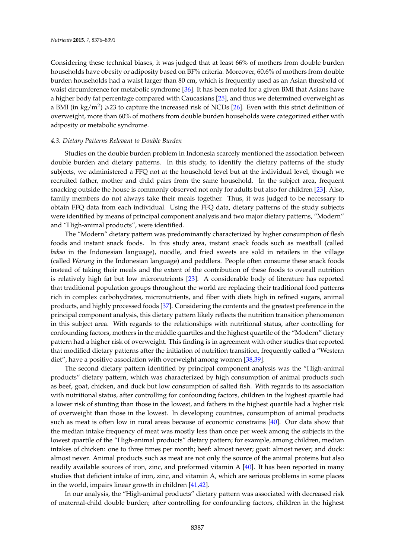Considering these technical biases, it was judged that at least 66% of mothers from double burden households have obesity or adiposity based on BF% criteria. Moreover, 60.6% of mothers from double burden households had a waist larger than 80 cm, which is frequently used as an Asian threshold of waist circumference for metabolic syndrome [\[36\]](#page-14-16). It has been noted for a given BMI that Asians have a higher body fat percentage compared with Caucasians [\[25\]](#page-14-6), and thus we determined overweight as a BMI (in kg/m<sup>2</sup>)  $\geqslant$ 23 to capture the increased risk of NCDs [\[26\]](#page-14-7). Even with this strict definition of overweight, more than 60% of mothers from double burden households were categorized either with adiposity or metabolic syndrome.

#### *4.3. Dietary Patterns Relevant to Double Burden*

Studies on the double burden problem in Indonesia scarcely mentioned the association between double burden and dietary patterns. In this study, to identify the dietary patterns of the study subjects, we administered a FFQ not at the household level but at the individual level, though we recruited father, mother and child pairs from the same household. In the subject area, frequent snacking outside the house is commonly observed not only for adults but also for children [\[23\]](#page-14-4). Also, family members do not always take their meals together. Thus, it was judged to be necessary to obtain FFQ data from each individual. Using the FFQ data, dietary patterns of the study subjects were identified by means of principal component analysis and two major dietary patterns, "Modern" and "High-animal products", were identified.

The "Modern" dietary pattern was predominantly characterized by higher consumption of flesh foods and instant snack foods. In this study area, instant snack foods such as meatball (called *bakso* in the Indonesian language), noodle, and fried sweets are sold in retailers in the village (called *Warung* in the Indonesian language) and peddlers. People often consume these snack foods instead of taking their meals and the extent of the contribution of these foods to overall nutrition is relatively high fat but low micronutrients [\[23\]](#page-14-4). A considerable body of literature has reported that traditional population groups throughout the world are replacing their traditional food patterns rich in complex carbohydrates, micronutrients, and fiber with diets high in refined sugars, animal products, and highly processed foods [\[37\]](#page-14-17). Considering the contents and the greatest preference in the principal component analysis, this dietary pattern likely reflects the nutrition transition phenomenon in this subject area. With regards to the relationships with nutritional status, after controlling for confounding factors, mothers in the middle quartiles and the highest quartile of the "Modern" dietary pattern had a higher risk of overweight. This finding is in agreement with other studies that reported that modified dietary patterns after the initiation of nutrition transition, frequently called a "Western diet", have a positive association with overweight among women [\[38](#page-14-18)[,39\]](#page-14-19).

The second dietary pattern identified by principal component analysis was the "High-animal products" dietary pattern, which was characterized by high consumption of animal products such as beef, goat, chicken, and duck but low consumption of salted fish. With regards to its association with nutritional status, after controlling for confounding factors, children in the highest quartile had a lower risk of stunting than those in the lowest, and fathers in the highest quartile had a higher risk of overweight than those in the lowest. In developing countries, consumption of animal products such as meat is often low in rural areas because of economic constrains [\[40\]](#page-15-0). Our data show that the median intake frequency of meat was mostly less than once per week among the subjects in the lowest quartile of the "High-animal products" dietary pattern; for example, among children, median intakes of chicken: one to three times per month; beef: almost never; goat: almost never; and duck: almost never. Animal products such as meat are not only the source of the animal proteins but also readily available sources of iron, zinc, and preformed vitamin A [\[40\]](#page-15-0). It has been reported in many studies that deficient intake of iron, zinc, and vitamin A, which are serious problems in some places in the world, impairs linear growth in children [\[41,](#page-15-1)[42\]](#page-15-2).

In our analysis, the "High-animal products" dietary pattern was associated with decreased risk of maternal-child double burden; after controlling for confounding factors, children in the highest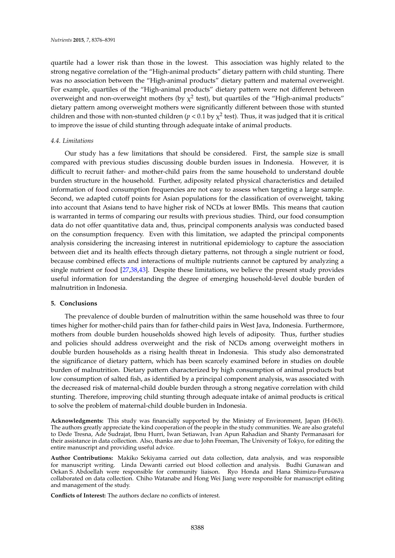quartile had a lower risk than those in the lowest. This association was highly related to the strong negative correlation of the "High-animal products" dietary pattern with child stunting. There was no association between the "High-animal products" dietary pattern and maternal overweight. For example, quartiles of the "High-animal products" dietary pattern were not different between overweight and non-overweight mothers (by  $\chi^2$  test), but quartiles of the "High-animal products" dietary pattern among overweight mothers were significantly different between those with stunted children and those with non-stunted children ( $p < 0.1$  by  $\chi^2$  test). Thus, it was judged that it is critical to improve the issue of child stunting through adequate intake of animal products.

# *4.4. Limitations*

Our study has a few limitations that should be considered. First, the sample size is small compared with previous studies discussing double burden issues in Indonesia. However, it is difficult to recruit father- and mother-child pairs from the same household to understand double burden structure in the household. Further, adiposity related physical characteristics and detailed information of food consumption frequencies are not easy to assess when targeting a large sample. Second, we adapted cutoff points for Asian populations for the classification of overweight, taking into account that Asians tend to have higher risk of NCDs at lower BMIs. This means that caution is warranted in terms of comparing our results with previous studies. Third, our food consumption data do not offer quantitative data and, thus, principal components analysis was conducted based on the consumption frequency. Even with this limitation, we adapted the principal components analysis considering the increasing interest in nutritional epidemiology to capture the association between diet and its health effects through dietary patterns, not through a single nutrient or food, because combined effects and interactions of multiple nutrients cannot be captured by analyzing a single nutrient or food [\[27,](#page-14-8)[38,](#page-14-18)[43\]](#page-15-3). Despite these limitations, we believe the present study provides useful information for understanding the degree of emerging household-level double burden of malnutrition in Indonesia.

# **5. Conclusions**

The prevalence of double burden of malnutrition within the same household was three to four times higher for mother-child pairs than for father-child pairs in West Java, Indonesia. Furthermore, mothers from double burden households showed high levels of adiposity. Thus, further studies and policies should address overweight and the risk of NCDs among overweight mothers in double burden households as a rising health threat in Indonesia. This study also demonstrated the significance of dietary pattern, which has been scarcely examined before in studies on double burden of malnutrition. Dietary pattern characterized by high consumption of animal products but low consumption of salted fish, as identified by a principal component analysis, was associated with the decreased risk of maternal-child double burden through a strong negative correlation with child stunting. Therefore, improving child stunting through adequate intake of animal products is critical to solve the problem of maternal-child double burden in Indonesia.

**Acknowledgments:** This study was financially supported by the Ministry of Environment, Japan (H-063). The authors greatly appreciate the kind cooperation of the people in the study communities. We are also grateful to Dede Tresna, Ade Sudrajat, Ibnu Hurri, Iwan Setiawan, Ivan Apun Rahadian and Shanty Permanasari for their assistance in data collection. Also, thanks are due to John Freeman, The University of Tokyo, for editing the entire manuscript and providing useful advice.

**Author Contributions:** Makiko Sekiyama carried out data collection, data analysis, and was responsible for manuscript writing. Linda Dewanti carried out blood collection and analysis. Budhi Gunawan and Oekan S. Abdoellah were responsible for community liaison. Ryo Honda and Hana Shimizu-Furusawa collaborated on data collection. Chiho Watanabe and Hong Wei Jiang were responsible for manuscript editing and management of the study.

**Conflicts of Interest:** The authors declare no conflicts of interest.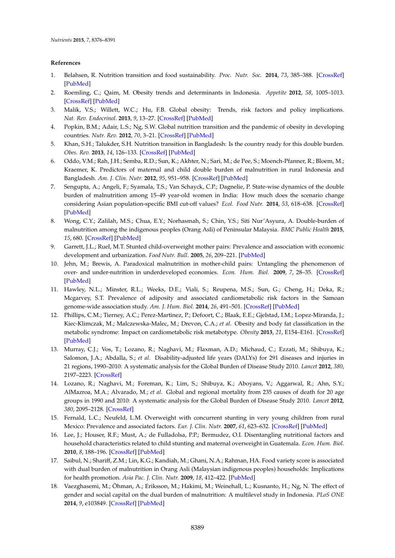# **References**

- <span id="page-13-0"></span>1. Belahsen, R. Nutrition transition and food sustainability. *Proc. Nutr. Soc.* **2014**, *73*, 385–388. [\[CrossRef\]](http://dx.doi.org/10.1017/S0029665114000135) [\[PubMed\]](http://www.ncbi.nlm.nih.gov/pubmed/24824339)
- <span id="page-13-1"></span>2. Roemling, C.; Qaim, M. Obesity trends and determinants in Indonesia. *Appetite* **2012**, *58*, 1005–1013. [\[CrossRef\]](http://dx.doi.org/10.1016/j.appet.2012.02.053) [\[PubMed\]](http://www.ncbi.nlm.nih.gov/pubmed/22402303)
- <span id="page-13-2"></span>3. Malik, V.S.; Willett, W.C.; Hu, F.B. Global obesity: Trends, risk factors and policy implications. *Nat. Rev. Endocrinol.* **2013**, *9*, 13–27. [\[CrossRef\]](http://dx.doi.org/10.1038/nrendo.2012.199) [\[PubMed\]](http://www.ncbi.nlm.nih.gov/pubmed/23165161)
- <span id="page-13-3"></span>4. Popkin, B.M.; Adair, L.S.; Ng, S.W. Global nutrition transition and the pandemic of obesity in developing countries. *Nutr. Rev.* **2012**, *70*, 3–21. [\[CrossRef\]](http://dx.doi.org/10.1111/j.1753-4887.2011.00456.x) [\[PubMed\]](http://www.ncbi.nlm.nih.gov/pubmed/22221213)
- <span id="page-13-4"></span>5. Khan, S.H.; Talukder, S.H. Nutrition transition in Bangladesh: Is the country ready for this double burden. *Obes. Rev.* **2013**, *14*, 126–133. [\[CrossRef\]](http://dx.doi.org/10.1111/obr.12100) [\[PubMed\]](http://www.ncbi.nlm.nih.gov/pubmed/24102686)
- <span id="page-13-5"></span>6. Oddo, V.M.; Rah, J.H.; Semba, R.D.; Sun, K.; Akhter, N.; Sari, M.; de Pee, S.; Moench-Pfanner, R.; Bloem, M.; Kraemer, K. Predictors of maternal and child double burden of malnutrition in rural Indonesia and Bangladesh. *Am. J. Clin. Nutr.* **2012**, *95*, 951–958. [\[CrossRef\]](http://dx.doi.org/10.3945/ajcn.111.026070) [\[PubMed\]](http://www.ncbi.nlm.nih.gov/pubmed/22357721)
- <span id="page-13-6"></span>7. Sengupta, A.; Angeli, F.; Syamala, T.S.; Van Schayck, C.P.; Dagnelie, P. State-wise dynamics of the double burden of malnutrition among 15–49 year-old women in India: How much does the scenario change considering Asian population-specific BMI cut-off values? *Ecol. Food Nutr.* **2014**, *53*, 618–638. [\[CrossRef\]](http://dx.doi.org/10.1080/03670244.2014.891994) [\[PubMed\]](http://www.ncbi.nlm.nih.gov/pubmed/25357268)
- <span id="page-13-7"></span>8. Wong, C.Y.; Zalilah, M.S.; Chua, E.Y.; Norhasmah, S.; Chin, Y.S.; Siti Nur'Asyura, A. Double-burden of malnutrition among the indigenous peoples (Orang Asli) of Peninsular Malaysia. *BMC Public Health* **2015**, *15*, 680. [\[CrossRef\]](http://dx.doi.org/10.1186/s12889-015-2058-x) [\[PubMed\]](http://www.ncbi.nlm.nih.gov/pubmed/26194643)
- <span id="page-13-8"></span>9. Garrett, J.L.; Ruel, M.T. Stunted child-overweight mother pairs: Prevalence and association with economic development and urbanization. *Food Nutr. Bull.* **2005**, *26*, 209–221. [\[PubMed\]](http://www.ncbi.nlm.nih.gov/pubmed/16060222)
- <span id="page-13-9"></span>10. Jehn, M.; Brewis, A. Paradoxical malnutrition in mother-child pairs: Untangling the phenomenon of over- and under-nutrition in underdeveloped economies. *Econ. Hum. Biol.* **2009**, *7*, 28–35. [\[CrossRef\]](http://dx.doi.org/10.1016/j.ehb.2009.01.007) [\[PubMed\]](http://www.ncbi.nlm.nih.gov/pubmed/19246260)
- <span id="page-13-10"></span>11. Hawley, N.L.; Minster, R.L.; Weeks, D.E.; Viali, S.; Reupena, M.S.; Sun, G.; Cheng, H.; Deka, R.; Mcgarvey, S.T. Prevalence of adiposity and associated cardiometabolic risk factors in the Samoan genome-wide association study. *Am. J. Hum. Biol.* **2014**, *26*, 491–501. [\[CrossRef\]](http://dx.doi.org/10.1002/ajhb.22553) [\[PubMed\]](http://www.ncbi.nlm.nih.gov/pubmed/24799123)
- <span id="page-13-11"></span>12. Phillips, C.M.; Tierney, A.C.; Perez-Martinez, P.; Defoort, C.; Blaak, E.E.; Gjelstad, I.M.; Lopez-Miranda, J.; Kiec-Klimczak, M.; Malczewska-Malec, M.; Drevon, C.A.; *et al*. Obesity and body fat classification in the metabolic syndrome: Impact on cardiometabolic risk metabotype. *Obesity* **2013**, *21*, E154–E161. [\[CrossRef\]](http://dx.doi.org/10.1002/oby.20263) [\[PubMed\]](http://www.ncbi.nlm.nih.gov/pubmed/23505198)
- <span id="page-13-12"></span>13. Murray, C.J.; Vos, T.; Lozano, R.; Naghavi, M.; Flaxman, A.D.; Michaud, C.; Ezzati, M.; Shibuya, K.; Salomon, J.A.; Abdalla, S.; *et al*. Disability-adjusted life years (DALYs) for 291 diseases and injuries in 21 regions, 1990–2010: A systematic analysis for the Global Burden of Disease Study 2010. *Lancet* **2012**, *380*, 2197–2223. [\[CrossRef\]](http://dx.doi.org/10.1016/S0140-6736(12)61689-4)
- <span id="page-13-13"></span>14. Lozano, R.; Naghavi, M.; Foreman, K.; Lim, S.; Shibuya, K.; Aboyans, V.; Aggarwal, R.; Ahn, S.Y.; AlMazroa, M.A.; Alvarado, M.; *et al*. Global and regional mortality from 235 causes of death for 20 age groups in 1990 and 2010: A systematic analysis for the Global Burden of Disease Study 2010. *Lancet* **2012**, *380*, 2095–2128. [\[CrossRef\]](http://dx.doi.org/10.1016/S0140-6736(12)61728-0)
- <span id="page-13-14"></span>15. Fernald, L.C.; Neufeld, L.M. Overweight with concurrent stunting in very young children from rural Mexico: Prevalence and associated factors. *Eur. J. Clin. Nutr.* **2007**, *61*, 623–632. [\[CrossRef\]](http://dx.doi.org/10.1038/sj.ejcn.1602558) [\[PubMed\]](http://www.ncbi.nlm.nih.gov/pubmed/17136036)
- <span id="page-13-15"></span>16. Lee, J.; Houser, R.F.; Must, A.; de Fulladolsa, P.P.; Bermudez, O.I. Disentangling nutritional factors and household characteristics related to child stunting and maternal overweight in Guatemala. *Econ. Hum. Biol.* **2010**, *8*, 188–196. [\[CrossRef\]](http://dx.doi.org/10.1016/j.ehb.2010.05.014) [\[PubMed\]](http://www.ncbi.nlm.nih.gov/pubmed/20541480)
- <span id="page-13-16"></span>17. Saibul, N.; Shariff, Z.M.; Lin, K.G.; Kandiah, M.; Ghani, N.A.; Rahman, HA. Food variety score is associated with dual burden of malnutrition in Orang Asli (Malaysian indigenous peoples) households: Implications for health promotion. *Asia Pac. J. Clin. Nutr.* **2009**, *18*, 412–422. [\[PubMed\]](http://www.ncbi.nlm.nih.gov/pubmed/19786390)
- <span id="page-13-17"></span>18. Vaezghasemi, M.; Öhman, A.; Eriksson, M.; Hakimi, M.; Weinehall, L.; Kusnanto, H.; Ng, N. The effect of gender and social capital on the dual burden of malnutrition: A multilevel study in Indonesia. *PLoS ONE* **2014**, *9*, e103849. [\[CrossRef\]](http://dx.doi.org/10.1371/journal.pone.0103849) [\[PubMed\]](http://www.ncbi.nlm.nih.gov/pubmed/25153321)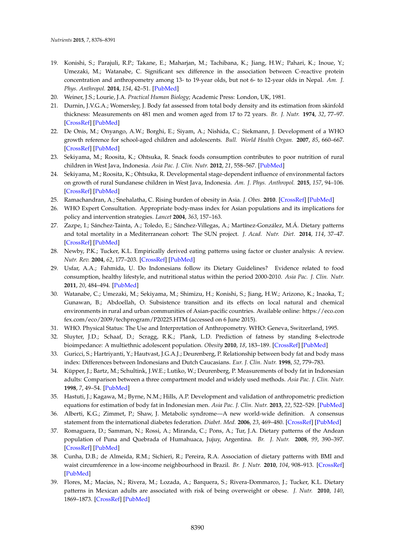- <span id="page-14-0"></span>19. Konishi, S.; Parajuli, R.P.; Takane, E.; Maharjan, M.; Tachibana, K.; Jiang, H.W.; Pahari, K.; Inoue, Y.; Umezaki, M.; Watanabe, C. Significant sex difference in the association between C-reactive protein concentration and anthropometry among 13- to 19-year olds, but not 6- to 12-year olds in Nepal. *Am. J. Phys. Anthropol.* **2014**, *154*, 42–51. [\[PubMed\]](http://www.ncbi.nlm.nih.gov/pubmed/24431160)
- <span id="page-14-1"></span>20. Weiner, J.S.; Lourie, J.A. *Practical Human Biology*; Academic Press: London, UK, 1981.
- <span id="page-14-2"></span>21. Durnin, J.V.G.A.; Womersley, J. Body fat assessed from total body density and its estimation from skinfold thickness: Measurements on 481 men and women aged from 17 to 72 years. *Br. J. Nutr.* **1974**, *32*, 77–97. [\[CrossRef\]](http://dx.doi.org/10.1079/BJN19740060) [\[PubMed\]](http://www.ncbi.nlm.nih.gov/pubmed/4843734)
- <span id="page-14-3"></span>22. De Onis, M.; Onyango, A.W.; Borghi, E.; Siyam, A.; Nishida, C.; Siekmann, J. Development of a WHO growth reference for school-aged children and adolescents. *Bull. World Health Organ.* **2007**, *85*, 660–667. [\[CrossRef\]](http://dx.doi.org/10.2471/BLT.07.043497) [\[PubMed\]](http://www.ncbi.nlm.nih.gov/pubmed/18026621)
- <span id="page-14-4"></span>23. Sekiyama, M.; Roosita, K.; Ohtsuka, R. Snack foods consumption contributes to poor nutrition of rural children in West Java, Indonesia. *Asia Pac. J. Clin. Nutr.* **2012**, *21*, 558–567. [\[PubMed\]](http://www.ncbi.nlm.nih.gov/pubmed/23017314)
- <span id="page-14-5"></span>24. Sekiyama, M.; Roosita, K.; Ohtsuka, R. Developmental stage-dependent influence of environmental factors on growth of rural Sundanese children in West Java, Indonesia. *Am. J. Phys. Anthropol.* **2015**, *157*, 94–106. [\[CrossRef\]](http://dx.doi.org/10.1002/ajpa.22692) [\[PubMed\]](http://www.ncbi.nlm.nih.gov/pubmed/25641623)
- <span id="page-14-6"></span>25. Ramachandran, A.; Snehalatha, C. Rising burden of obesity in Asia. *J. Obes.* **2010**. [\[CrossRef\]](http://dx.doi.org/10.1155/2010/868573) [\[PubMed\]](http://www.ncbi.nlm.nih.gov/pubmed/20871654)
- <span id="page-14-7"></span>26. WHO Expert Consultation. Appropriate body-mass index for Asian populations and its implications for policy and intervention strategies. *Lancet* **2004**, *363*, 157–163.
- <span id="page-14-8"></span>27. Zazpe, I.; Sánchez-Tainta, A.; Toledo, E.; Sánchez-Villegas, A.; Martínez-González, M.Á. Dietary patterns and total mortality in a Mediterranean cohort: The SUN project. *J. Acad. Nutr. Diet.* **2014**, *114*, 37–47. [\[CrossRef\]](http://dx.doi.org/10.1016/j.jand.2013.07.024) [\[PubMed\]](http://www.ncbi.nlm.nih.gov/pubmed/24095621)
- <span id="page-14-9"></span>28. Newby, P.K.; Tucker, K.L. Empirically derived eating patterns using factor or cluster analysis: A review. *Nutr. Rev.* **2004**, *62*, 177–203. [\[CrossRef\]](http://dx.doi.org/10.1111/j.1753-4887.2004.tb00040.x) [\[PubMed\]](http://www.ncbi.nlm.nih.gov/pubmed/15212319)
- <span id="page-14-10"></span>29. Usfar, A.A.; Fahmida, U. Do Indonesians follow its Dietary Guidelines? Evidence related to food consumption, healthy lifestyle, and nutritional status within the period 2000-2010. *Asia Pac. J. Clin. Nutr.* **2011**, *20*, 484–494. [\[PubMed\]](http://www.ncbi.nlm.nih.gov/pubmed/21859671)
- <span id="page-14-11"></span>30. Watanabe, C.; Umezaki, M.; Sekiyama, M.; Shimizu, H.; Konishi, S.; Jiang, H.W.; Arizono, K.; Inaoka, T.; Gunawan, B.; Abdoellah, O. Subsistence transition and its effects on local natural and chemical environments in rural and urban communities of Asian-pacific countries. Available online: https://eco.con fex.com/eco/2009/techprogram/P20225.HTM (accessed on 6 June 2015).
- <span id="page-14-12"></span>31. WHO. Physical Status: The Use and Interpretation of Anthropometry. WHO: Geneva, Switzerland, 1995.
- <span id="page-14-13"></span>32. Sluyter, J.D.; Schaaf, D.; Scragg, R.K.; Plank, L.D. Prediction of fatness by standing 8-electrode bioimpedance: A multiethnic adolescent population. *Obesity* **2010**, *18*, 183–189. [\[CrossRef\]](http://dx.doi.org/10.1038/oby.2009.166) [\[PubMed\]](http://www.ncbi.nlm.nih.gov/pubmed/19498351)
- <span id="page-14-14"></span>33. Guricci, S.; Hartriyanti, Y.; Hautvast, J.G.A.J.; Deurenberg, P. Relationship between body fat and body mass index: Differences between Indonesians and Dutch Caucasians. *Eur. J. Clin. Nutr.* **1998**, *52*, 779–783.
- 34. Küpper, J.; Bartz, M.; Schultink, J.W.E.; Lutiko, W.; Deurenberg, P. Measurements of body fat in Indonesian adults: Comparison between a three compartment model and widely used methods. *Asia Pac. J. Clin. Nutr.* **1998**, *7*, 49–54. [\[PubMed\]](http://www.ncbi.nlm.nih.gov/pubmed/24394898)
- <span id="page-14-15"></span>35. Hastuti, J.; Kagawa, M.; Byrne, N.M.; Hills, A.P. Development and validation of anthropometric prediction equations for estimation of body fat in Indonesian men. *Asia Pac. J. Clin. Nutr.* **2013**, *22*, 522–529. [\[PubMed\]](http://www.ncbi.nlm.nih.gov/pubmed/24231011)
- <span id="page-14-16"></span>36. Alberti, K.G.; Zimmet, P.; Shaw, J. Metabolic syndrome—A new world-wide definition. A consensus statement from the international diabetes federation. *Diabet. Med.* **2006**, *23*, 469–480. [\[CrossRef\]](http://dx.doi.org/10.1111/j.1464-5491.2006.01858.x) [\[PubMed\]](http://www.ncbi.nlm.nih.gov/pubmed/16681555)
- <span id="page-14-17"></span>37. Romaguera, D.; Samman, N.; Rossi, A.; Miranda, C.; Pons, A.; Tur, J.A. Dietary patterns of the Andean population of Puna and Quebrada of Humahuaca, Jujuy, Argentina. *Br. J. Nutr.* **2008**, *99*, 390–397. [\[CrossRef\]](http://dx.doi.org/10.1017/S0007114507801061) [\[PubMed\]](http://www.ncbi.nlm.nih.gov/pubmed/17697401)
- <span id="page-14-18"></span>38. Cunha, D.B.; de Almeida, R.M.; Sichieri, R.; Pereira, R.A. Association of dietary patterns with BMI and waist circumference in a low-income neighbourhood in Brazil. *Br. J. Nutr.* **2010**, *104*, 908–913. [\[CrossRef\]](http://dx.doi.org/10.1017/S0007114510001479) [\[PubMed\]](http://www.ncbi.nlm.nih.gov/pubmed/20420750)
- <span id="page-14-19"></span>39. Flores, M.; Macias, N.; Rivera, M.; Lozada, A.; Barquera, S.; Rivera-Dommarco, J.; Tucker, K.L. Dietary patterns in Mexican adults are associated with risk of being overweight or obese. *J. Nutr.* **2010**, *140*, 1869–1873. [\[CrossRef\]](http://dx.doi.org/10.3945/jn.110.121533) [\[PubMed\]](http://www.ncbi.nlm.nih.gov/pubmed/20739452)